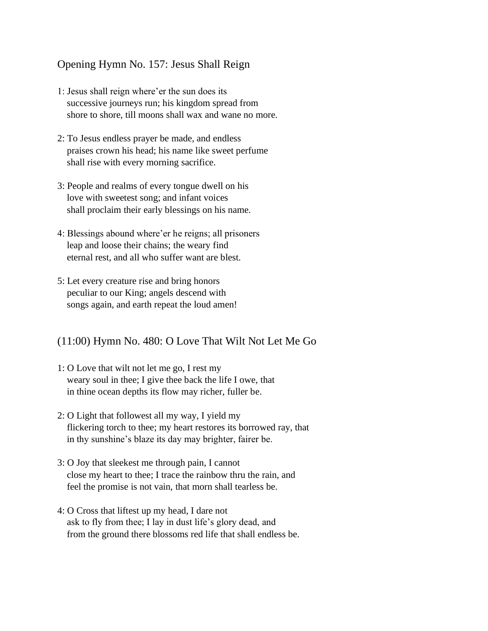## Opening Hymn No. 157: Jesus Shall Reign

- 1: Jesus shall reign where'er the sun does its successive journeys run; his kingdom spread from shore to shore, till moons shall wax and wane no more.
- 2: To Jesus endless prayer be made, and endless praises crown his head; his name like sweet perfume shall rise with every morning sacrifice.
- 3: People and realms of every tongue dwell on his love with sweetest song; and infant voices shall proclaim their early blessings on his name.
- 4: Blessings abound where'er he reigns; all prisoners leap and loose their chains; the weary find eternal rest, and all who suffer want are blest.
- 5: Let every creature rise and bring honors peculiar to our King; angels descend with songs again, and earth repeat the loud amen!

## (11:00) Hymn No. 480: O Love That Wilt Not Let Me Go

- 1: O Love that wilt not let me go, I rest my weary soul in thee; I give thee back the life I owe, that in thine ocean depths its flow may richer, fuller be.
- 2: O Light that followest all my way, I yield my flickering torch to thee; my heart restores its borrowed ray, that in thy sunshine's blaze its day may brighter, fairer be.
- 3: O Joy that sleekest me through pain, I cannot close my heart to thee; I trace the rainbow thru the rain, and feel the promise is not vain, that morn shall tearless be.
- 4: O Cross that liftest up my head, I dare not ask to fly from thee; I lay in dust life's glory dead, and from the ground there blossoms red life that shall endless be.